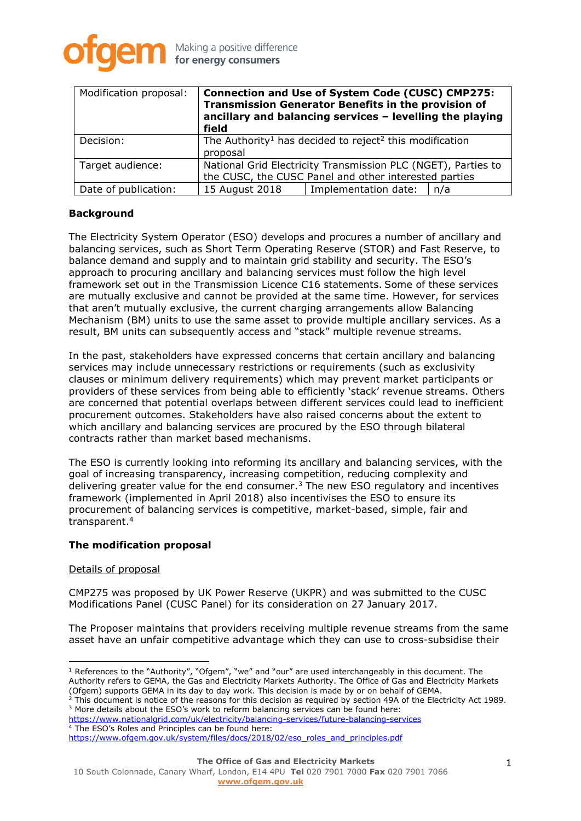

| Modification proposal: | <b>Connection and Use of System Code (CUSC) CMP275:</b><br>Transmission Generator Benefits in the provision of<br>ancillary and balancing services - levelling the playing<br>field |                      |     |
|------------------------|-------------------------------------------------------------------------------------------------------------------------------------------------------------------------------------|----------------------|-----|
| Decision:              | The Authority <sup>1</sup> has decided to reject <sup>2</sup> this modification<br>proposal                                                                                         |                      |     |
| Target audience:       | National Grid Electricity Transmission PLC (NGET), Parties to<br>the CUSC, the CUSC Panel and other interested parties                                                              |                      |     |
| Date of publication:   | 15 August 2018                                                                                                                                                                      | Implementation date: | n/a |

### **Background**

The Electricity System Operator (ESO) develops and procures a number of ancillary and balancing services, such as Short Term Operating Reserve (STOR) and Fast Reserve, to balance demand and supply and to maintain grid stability and security. The ESO's approach to procuring ancillary and balancing services must follow the high level framework set out in the Transmission Licence C16 statements. Some of these services are mutually exclusive and cannot be provided at the same time. However, for services that aren't mutually exclusive, the current charging arrangements allow Balancing Mechanism (BM) units to use the same asset to provide multiple ancillary services. As a result, BM units can subsequently access and "stack" multiple revenue streams.

In the past, stakeholders have expressed concerns that certain ancillary and balancing services may include unnecessary restrictions or requirements (such as exclusivity clauses or minimum delivery requirements) which may prevent market participants or providers of these services from being able to efficiently 'stack' revenue streams. Others are concerned that potential overlaps between different services could lead to inefficient procurement outcomes. Stakeholders have also raised concerns about the extent to which ancillary and balancing services are procured by the ESO through bilateral contracts rather than market based mechanisms.

The ESO is currently looking into reforming its ancillary and balancing services, with the goal of increasing transparency, increasing competition, reducing complexity and delivering greater value for the end consumer.<sup>3</sup> The new ESO regulatory and incentives framework (implemented in April 2018) also incentivises the ESO to ensure its procurement of balancing services is competitive, market-based, simple, fair and transparent.<sup>4</sup>

### **The modification proposal**

### Details of proposal

 $\overline{a}$ 

CMP275 was proposed by UK Power Reserve (UKPR) and was submitted to the CUSC Modifications Panel (CUSC Panel) for its consideration on 27 January 2017.

The Proposer maintains that providers receiving multiple revenue streams from the same asset have an unfair competitive advantage which they can use to cross-subsidise their

 $<sup>1</sup>$  References to the "Authority", "Ofgem", "we" and "our" are used interchangeably in this document. The</sup> Authority refers to GEMA, the Gas and Electricity Markets Authority. The Office of Gas and Electricity Markets (Ofgem) supports GEMA in its day to day work. This decision is made by or on behalf of GEMA.

 $^2$  This document is notice of the reasons for this decision as required by section 49A of the Electricity Act 1989. <sup>3</sup> More details about the ESO's work to reform balancing services can be found here:

<https://www.nationalgrid.com/uk/electricity/balancing-services/future-balancing-services> <sup>4</sup> The ESO's Roles and Principles can be found here: [https://www.ofgem.gov.uk/system/files/docs/2018/02/eso\\_roles\\_and\\_principles.pdf](https://www.ofgem.gov.uk/system/files/docs/2018/02/eso_roles_and_principles.pdf)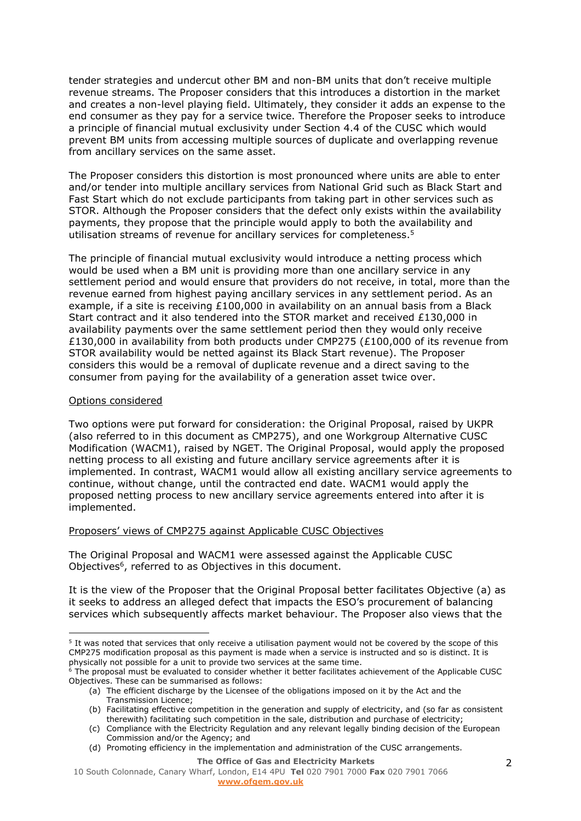tender strategies and undercut other BM and non-BM units that don't receive multiple revenue streams. The Proposer considers that this introduces a distortion in the market and creates a non-level playing field. Ultimately, they consider it adds an expense to the end consumer as they pay for a service twice. Therefore the Proposer seeks to introduce a principle of financial mutual exclusivity under Section 4.4 of the CUSC which would prevent BM units from accessing multiple sources of duplicate and overlapping revenue from ancillary services on the same asset.

The Proposer considers this distortion is most pronounced where units are able to enter and/or tender into multiple ancillary services from National Grid such as Black Start and Fast Start which do not exclude participants from taking part in other services such as STOR. Although the Proposer considers that the defect only exists within the availability payments, they propose that the principle would apply to both the availability and utilisation streams of revenue for ancillary services for completeness. 5

The principle of financial mutual exclusivity would introduce a netting process which would be used when a BM unit is providing more than one ancillary service in any settlement period and would ensure that providers do not receive, in total, more than the revenue earned from highest paying ancillary services in any settlement period. As an example, if a site is receiving £100,000 in availability on an annual basis from a Black Start contract and it also tendered into the STOR market and received £130,000 in availability payments over the same settlement period then they would only receive £130,000 in availability from both products under CMP275 (£100,000 of its revenue from STOR availability would be netted against its Black Start revenue). The Proposer considers this would be a removal of duplicate revenue and a direct saving to the consumer from paying for the availability of a generation asset twice over.

### Options considered

 $\overline{a}$ 

Two options were put forward for consideration: the Original Proposal, raised by UKPR (also referred to in this document as CMP275), and one Workgroup Alternative CUSC Modification (WACM1), raised by NGET. The Original Proposal, would apply the proposed netting process to all existing and future ancillary service agreements after it is implemented. In contrast, WACM1 would allow all existing ancillary service agreements to continue, without change, until the contracted end date. WACM1 would apply the proposed netting process to new ancillary service agreements entered into after it is implemented.

### Proposers' views of CMP275 against Applicable CUSC Objectives

The Original Proposal and WACM1 were assessed against the Applicable CUSC Objectives<sup>6</sup>, referred to as Objectives in this document.

It is the view of the Proposer that the Original Proposal better facilitates Objective (a) as it seeks to address an alleged defect that impacts the ESO's procurement of balancing services which subsequently affects market behaviour. The Proposer also views that the

<sup>6</sup> The proposal must be evaluated to consider whether it better facilitates achievement of the Applicable CUSC Objectives. These can be summarised as follows:

<sup>&</sup>lt;sup>5</sup> It was noted that services that only receive a utilisation payment would not be covered by the scope of this CMP275 modification proposal as this payment is made when a service is instructed and so is distinct. It is physically not possible for a unit to provide two services at the same time.

<sup>(</sup>a) The efficient discharge by the Licensee of the obligations imposed on it by the Act and the Transmission Licence;

<sup>(</sup>b) Facilitating effective competition in the generation and supply of electricity, and (so far as consistent therewith) facilitating such competition in the sale, distribution and purchase of electricity;

<sup>(</sup>c) Compliance with the Electricity Regulation and any relevant legally binding decision of the European Commission and/or the Agency; and

<sup>(</sup>d) Promoting efficiency in the implementation and administration of the CUSC arrangements.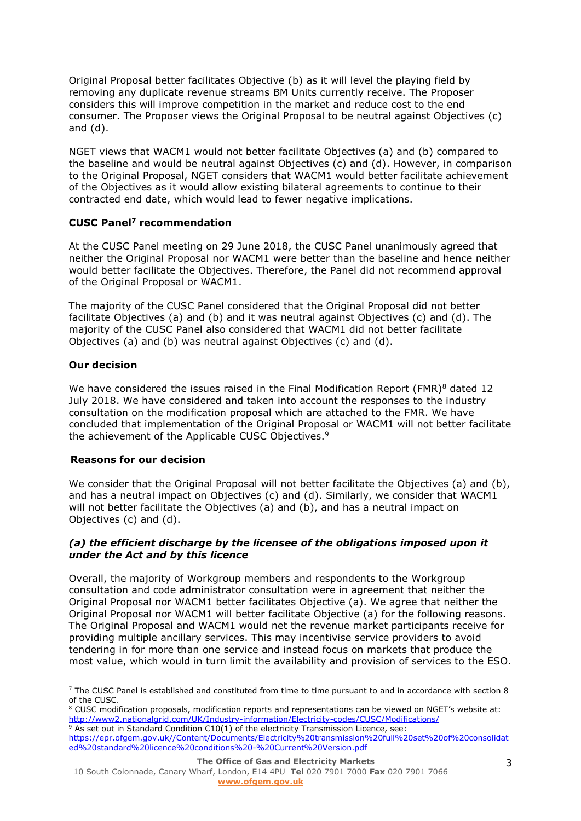Original Proposal better facilitates Objective (b) as it will level the playing field by removing any duplicate revenue streams BM Units currently receive. The Proposer considers this will improve competition in the market and reduce cost to the end consumer. The Proposer views the Original Proposal to be neutral against Objectives (c) and (d).

NGET views that WACM1 would not better facilitate Objectives (a) and (b) compared to the baseline and would be neutral against Objectives (c) and (d). However, in comparison to the Original Proposal, NGET considers that WACM1 would better facilitate achievement of the Objectives as it would allow existing bilateral agreements to continue to their contracted end date, which would lead to fewer negative implications.

# **CUSC Panel<sup>7</sup> recommendation**

At the CUSC Panel meeting on 29 June 2018, the CUSC Panel unanimously agreed that neither the Original Proposal nor WACM1 were better than the baseline and hence neither would better facilitate the Objectives. Therefore, the Panel did not recommend approval of the Original Proposal or WACM1.

The majority of the CUSC Panel considered that the Original Proposal did not better facilitate Objectives (a) and (b) and it was neutral against Objectives (c) and (d). The majority of the CUSC Panel also considered that WACM1 did not better facilitate Objectives (a) and (b) was neutral against Objectives (c) and (d).

# **Our decision**

We have considered the issues raised in the Final Modification Report (FMR) $8$  dated 12 July 2018. We have considered and taken into account the responses to the industry consultation on the modification proposal which are attached to the FMR. We have concluded that implementation of the Original Proposal or WACM1 will not better facilitate the achievement of the Applicable CUSC Objectives.<sup>9</sup>

## **Reasons for our decision**

We consider that the Original Proposal will not better facilitate the Objectives (a) and (b), and has a neutral impact on Objectives (c) and (d). Similarly, we consider that WACM1 will not better facilitate the Objectives (a) and (b), and has a neutral impact on Objectives (c) and (d).

## *(a) the efficient discharge by the licensee of the obligations imposed upon it under the Act and by this licence*

Overall, the majority of Workgroup members and respondents to the Workgroup consultation and code administrator consultation were in agreement that neither the Original Proposal nor WACM1 better facilitates Objective (a). We agree that neither the Original Proposal nor WACM1 will better facilitate Objective (a) for the following reasons. The Original Proposal and WACM1 would net the revenue market participants receive for providing multiple ancillary services. This may incentivise service providers to avoid tendering in for more than one service and instead focus on markets that produce the most value, which would in turn limit the availability and provision of services to the ESO.

<sup>&</sup>lt;sup>7</sup> The CUSC Panel is established and constituted from time to time pursuant to and in accordance with section 8 of the CUSC.

<sup>&</sup>lt;sup>8</sup> CUSC modification proposals, modification reports and representations can be viewed on NGET's website at: <http://www2.nationalgrid.com/UK/Industry-information/Electricity-codes/CUSC/Modifications/>  $9$  As set out in Standard Condition C10(1) of the electricity Transmission Licence, see:

[https://epr.ofgem.gov.uk//Content/Documents/Electricity%20transmission%20full%20set%20of%20consolidat](https://epr.ofgem.gov.uk/Content/Documents/Electricity%20transmission%20full%20set%20of%20consolidated%20standard%20licence%20conditions%20-%20Current%20Version.pdf) [ed%20standard%20licence%20conditions%20-%20Current%20Version.pdf](https://epr.ofgem.gov.uk/Content/Documents/Electricity%20transmission%20full%20set%20of%20consolidated%20standard%20licence%20conditions%20-%20Current%20Version.pdf)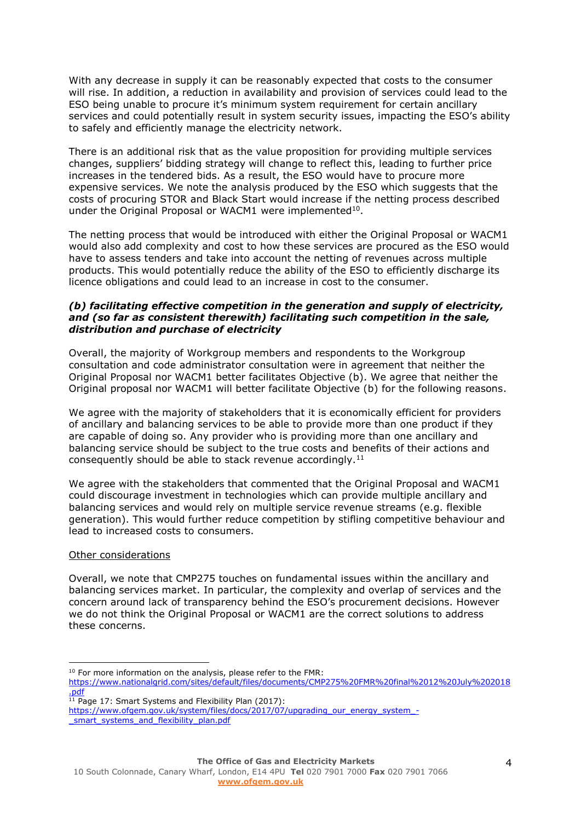With any decrease in supply it can be reasonably expected that costs to the consumer will rise. In addition, a reduction in availability and provision of services could lead to the ESO being unable to procure it's minimum system requirement for certain ancillary services and could potentially result in system security issues, impacting the ESO's ability to safely and efficiently manage the electricity network.

There is an additional risk that as the value proposition for providing multiple services changes, suppliers' bidding strategy will change to reflect this, leading to further price increases in the tendered bids. As a result, the ESO would have to procure more expensive services. We note the analysis produced by the ESO which suggests that the costs of procuring STOR and Black Start would increase if the netting process described under the Original Proposal or WACM1 were implemented<sup>10</sup>.

The netting process that would be introduced with either the Original Proposal or WACM1 would also add complexity and cost to how these services are procured as the ESO would have to assess tenders and take into account the netting of revenues across multiple products. This would potentially reduce the ability of the ESO to efficiently discharge its licence obligations and could lead to an increase in cost to the consumer.

### *(b) facilitating effective competition in the generation and supply of electricity, and (so far as consistent therewith) facilitating such competition in the sale, distribution and purchase of electricity*

Overall, the majority of Workgroup members and respondents to the Workgroup consultation and code administrator consultation were in agreement that neither the Original Proposal nor WACM1 better facilitates Objective (b). We agree that neither the Original proposal nor WACM1 will better facilitate Objective (b) for the following reasons.

We agree with the majority of stakeholders that it is economically efficient for providers of ancillary and balancing services to be able to provide more than one product if they are capable of doing so. Any provider who is providing more than one ancillary and balancing service should be subject to the true costs and benefits of their actions and consequently should be able to stack revenue accordingly.<sup>11</sup>

We agree with the stakeholders that commented that the Original Proposal and WACM1 could discourage investment in technologies which can provide multiple ancillary and balancing services and would rely on multiple service revenue streams (e.g. flexible generation). This would further reduce competition by stifling competitive behaviour and lead to increased costs to consumers.

### Other considerations

 $\overline{a}$ 

Overall, we note that CMP275 touches on fundamental issues within the ancillary and balancing services market. In particular, the complexity and overlap of services and the concern around lack of transparency behind the ESO's procurement decisions. However we do not think the Original Proposal or WACM1 are the correct solutions to address these concerns.

 $11$  Page 17: Smart Systems and Flexibility Plan (2017):

<sup>&</sup>lt;sup>10</sup> For more information on the analysis, please refer to the FMR:

[https://www.nationalgrid.com/sites/default/files/documents/CMP275%20FMR%20final%2012%20July%202018](https://www.nationalgrid.com/sites/default/files/documents/CMP275%20FMR%20final%2012%20July%202018.pdf) [.pdf](https://www.nationalgrid.com/sites/default/files/documents/CMP275%20FMR%20final%2012%20July%202018.pdf)

[https://www.ofgem.gov.uk/system/files/docs/2017/07/upgrading\\_our\\_energy\\_system\\_](https://www.ofgem.gov.uk/system/files/docs/2017/07/upgrading_our_energy_system_-_smart_systems_and_flexibility_plan.pdf) smart systems and flexibility plan.pdf